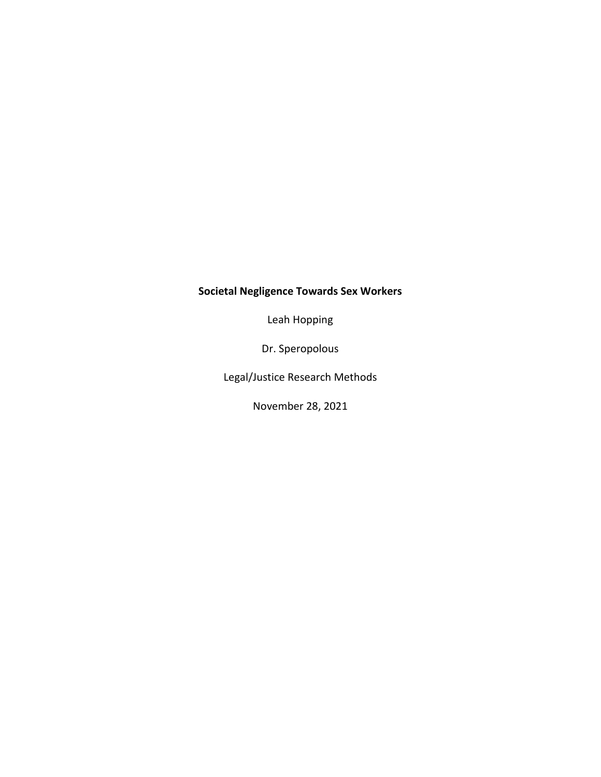## **Societal Negligence Towards Sex Workers**

Leah Hopping

Dr. Speropolous

Legal/Justice Research Methods

November 28, 2021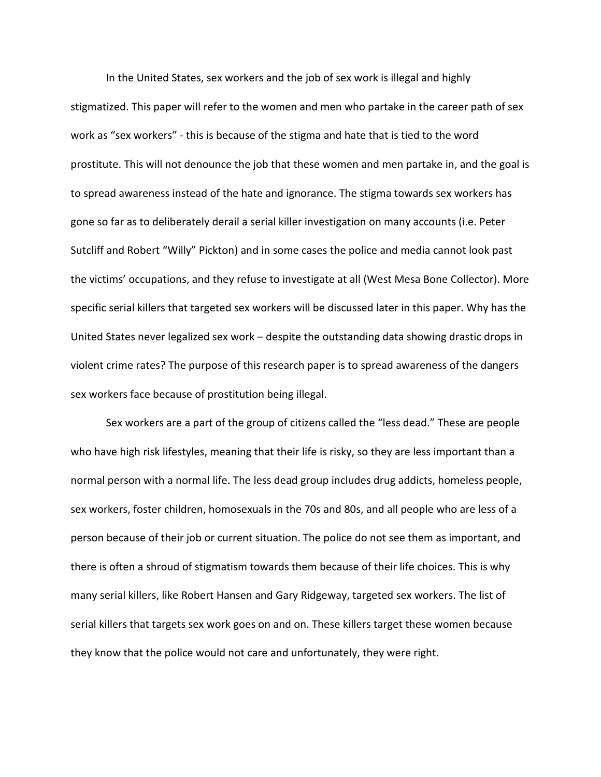In the United States, sex workers and the job of sex work is illegal and highly stigmatized. This paper will refer to the women and men who partake in the career path of sex work as "sex workers" - this is because of the stigma and hate that is tied to the word prostitute. This will not denounce the job that these women and men partake in, and the goal is to spread awareness instead of the hate and ignorance. The stigma towards sex workers has gone so far as to deliberately derail a serial killer investigation on many accounts (i.e. Peter Sutcliff and Robert "Willy" Pickton) and in some cases the police and media cannot look past the victims' occupations, and they refuse to investigate at all (West Mesa Bone Collector). More specific serial killers that targeted sex workers will be discussed later in this paper. Why has the United States never legalized sex work – despite the outstanding data showing drastic drops in violent crime rates? The purpose of this research paper is to spread awareness of the dangers sex workers face because of prostitution being illegal.

Sex workers are a part of the group of citizens called the "less dead." These are people who have high risk lifestyles, meaning that their life is risky, so they are less important than a normal person with a normal life. The less dead group includes drug addicts, homeless people, sex workers, foster children, homosexuals in the 70s and 80s, and all people who are less of a person because of their job or current situation. The police do not see them as important, and there is often a shroud of stigmatism towards them because of their life choices. This is why many serial killers, like Robert Hansen and Gary Ridgeway, targeted sex workers. The list of serial killers that targets sex work goes on and on. These killers target these women because they know that the police would not care and unfortunately, they were right.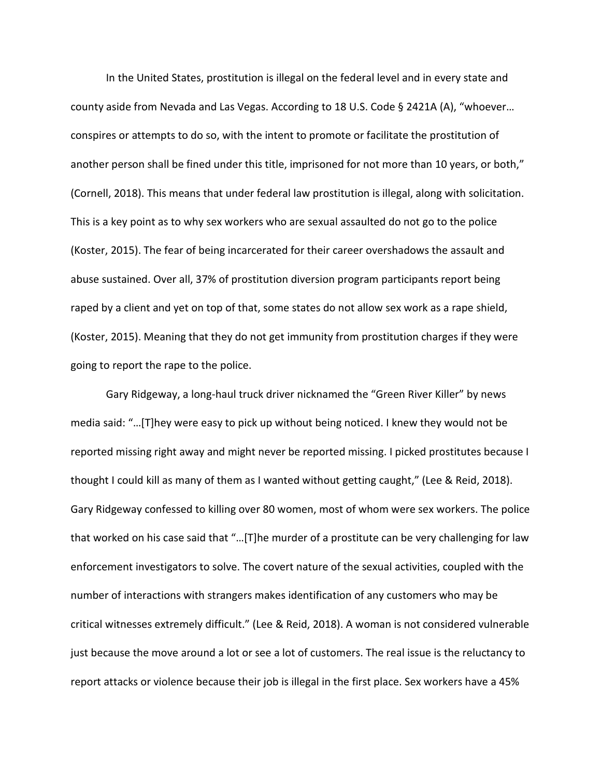In the United States, prostitution is illegal on the federal level and in every state and county aside from Nevada and Las Vegas. According to 18 U.S. Code § 2421A (A), "whoever… conspires or attempts to do so, with the intent to promote or facilitate the prostitution of another person shall be fined under this title, imprisoned for not more than 10 years, or both," (Cornell, 2018). This means that under federal law prostitution is illegal, along with solicitation. This is a key point as to why sex workers who are sexual assaulted do not go to the police (Koster, 2015). The fear of being incarcerated for their career overshadows the assault and abuse sustained. Over all, 37% of prostitution diversion program participants report being raped by a client and yet on top of that, some states do not allow sex work as a rape shield, (Koster, 2015). Meaning that they do not get immunity from prostitution charges if they were going to report the rape to the police.

Gary Ridgeway, a long-haul truck driver nicknamed the "Green River Killer" by news media said: "…[T]hey were easy to pick up without being noticed. I knew they would not be reported missing right away and might never be reported missing. I picked prostitutes because I thought I could kill as many of them as I wanted without getting caught," (Lee & Reid, 2018). Gary Ridgeway confessed to killing over 80 women, most of whom were sex workers. The police that worked on his case said that "…[T]he murder of a prostitute can be very challenging for law enforcement investigators to solve. The covert nature of the sexual activities, coupled with the number of interactions with strangers makes identification of any customers who may be critical witnesses extremely difficult." (Lee & Reid, 2018). A woman is not considered vulnerable just because the move around a lot or see a lot of customers. The real issue is the reluctancy to report attacks or violence because their job is illegal in the first place. Sex workers have a 45%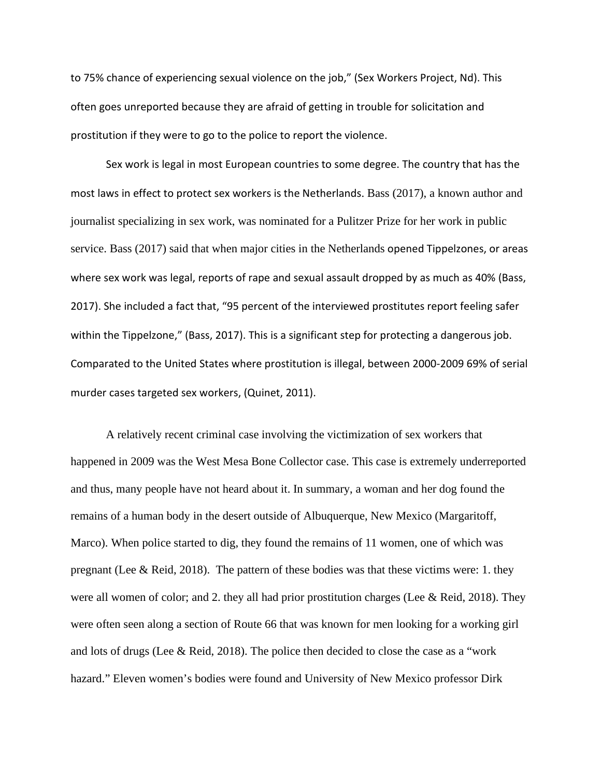to 75% chance of experiencing sexual violence on the job," (Sex Workers Project, Nd). This often goes unreported because they are afraid of getting in trouble for solicitation and prostitution if they were to go to the police to report the violence.

Sex work is legal in most European countries to some degree. The country that has the most laws in effect to protect sex workers is the Netherlands. Bass (2017), a known author and journalist specializing in sex work, was nominated for a Pulitzer Prize for her work in public service. Bass (2017) said that when major cities in the Netherlands opened Tippelzones, or areas where sex work was legal, reports of rape and sexual assault dropped by as much as 40% (Bass, 2017). She included a fact that, "95 percent of the interviewed prostitutes report feeling safer within the Tippelzone," (Bass, 2017). This is a significant step for protecting a dangerous job. Comparated to the United States where prostitution is illegal, between 2000-2009 69% of serial murder cases targeted sex workers, (Quinet, 2011).

A relatively recent criminal case involving the victimization of sex workers that happened in 2009 was the West Mesa Bone Collector case. This case is extremely underreported and thus, many people have not heard about it. In summary, a woman and her dog found the remains of a human body in the desert outside of Albuquerque, New Mexico (Margaritoff, Marco). When police started to dig, they found the remains of 11 women, one of which was pregnant (Lee & Reid, 2018). The pattern of these bodies was that these victims were: 1. they were all women of color; and 2. they all had prior prostitution charges (Lee & Reid, 2018). They were often seen along a section of Route 66 that was known for men looking for a working girl and lots of drugs (Lee & Reid, 2018). The police then decided to close the case as a "work hazard." Eleven women's bodies were found and University of New Mexico professor Dirk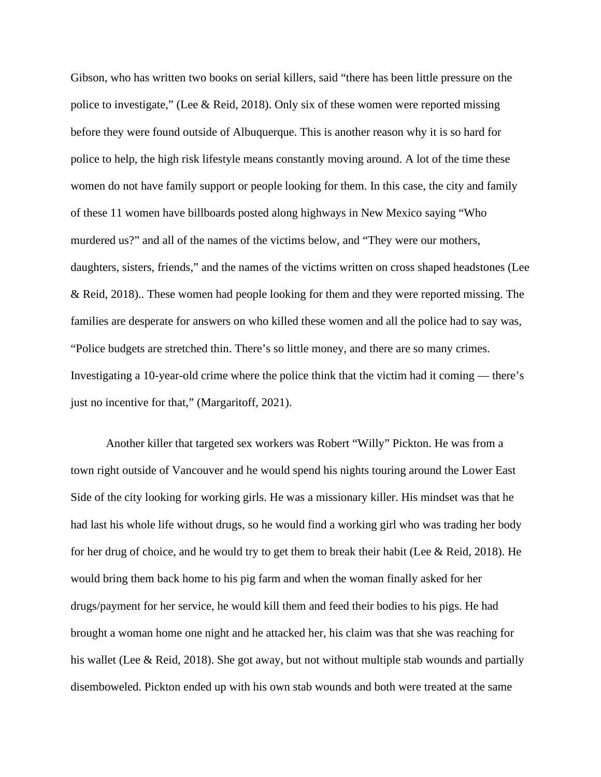Gibson, who has written two books on serial killers, said "there has been little pressure on the police to investigate," (Lee & Reid, 2018). Only six of these women were reported missing before they were found outside of Albuquerque. This is another reason why it is so hard for police to help, the high risk lifestyle means constantly moving around. A lot of the time these women do not have family support or people looking for them. In this case, the city and family of these 11 women have billboards posted along highways in New Mexico saying "Who murdered us?" and all of the names of the victims below, and "They were our mothers, daughters, sisters, friends," and the names of the victims written on cross shaped headstones (Lee & Reid, 2018).. These women had people looking for them and they were reported missing. The families are desperate for answers on who killed these women and all the police had to say was, "Police budgets are stretched thin. There's so little money, and there are so many crimes. Investigating a 10-year-old crime where the police think that the victim had it coming — there's just no incentive for that," (Margaritoff, 2021).

Another killer that targeted sex workers was Robert "Willy" Pickton. He was from a town right outside of Vancouver and he would spend his nights touring around the Lower East Side of the city looking for working girls. He was a missionary killer. His mindset was that he had last his whole life without drugs, so he would find a working girl who was trading her body for her drug of choice, and he would try to get them to break their habit (Lee & Reid, 2018). He would bring them back home to his pig farm and when the woman finally asked for her drugs/payment for her service, he would kill them and feed their bodies to his pigs. He had brought a woman home one night and he attacked her, his claim was that she was reaching for his wallet (Lee & Reid, 2018). She got away, but not without multiple stab wounds and partially disemboweled. Pickton ended up with his own stab wounds and both were treated at the same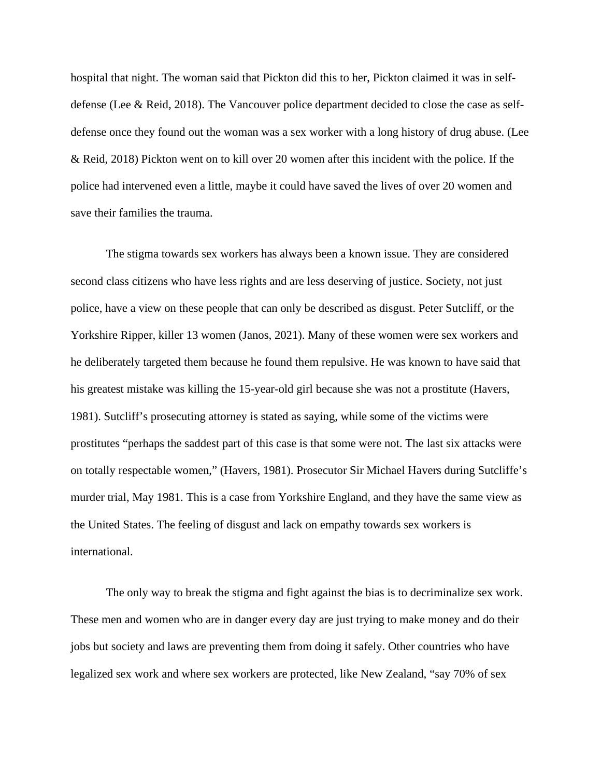hospital that night. The woman said that Pickton did this to her, Pickton claimed it was in selfdefense (Lee & Reid, 2018). The Vancouver police department decided to close the case as selfdefense once they found out the woman was a sex worker with a long history of drug abuse. (Lee & Reid, 2018) Pickton went on to kill over 20 women after this incident with the police. If the police had intervened even a little, maybe it could have saved the lives of over 20 women and save their families the trauma.

The stigma towards sex workers has always been a known issue. They are considered second class citizens who have less rights and are less deserving of justice. Society, not just police, have a view on these people that can only be described as disgust. Peter Sutcliff, or the Yorkshire Ripper, killer 13 women (Janos, 2021). Many of these women were sex workers and he deliberately targeted them because he found them repulsive. He was known to have said that his greatest mistake was killing the 15-year-old girl because she was not a prostitute (Havers, 1981). Sutcliff's prosecuting attorney is stated as saying, while some of the victims were prostitutes "perhaps the saddest part of this case is that some were not. The last six attacks were on totally respectable women," (Havers, 1981). Prosecutor Sir Michael Havers during Sutcliffe's murder trial, May 1981. This is a case from Yorkshire England, and they have the same view as the United States. The feeling of disgust and lack on empathy towards sex workers is international.

The only way to break the stigma and fight against the bias is to decriminalize sex work. These men and women who are in danger every day are just trying to make money and do their jobs but society and laws are preventing them from doing it safely. Other countries who have legalized sex work and where sex workers are protected, like New Zealand, "say 70% of sex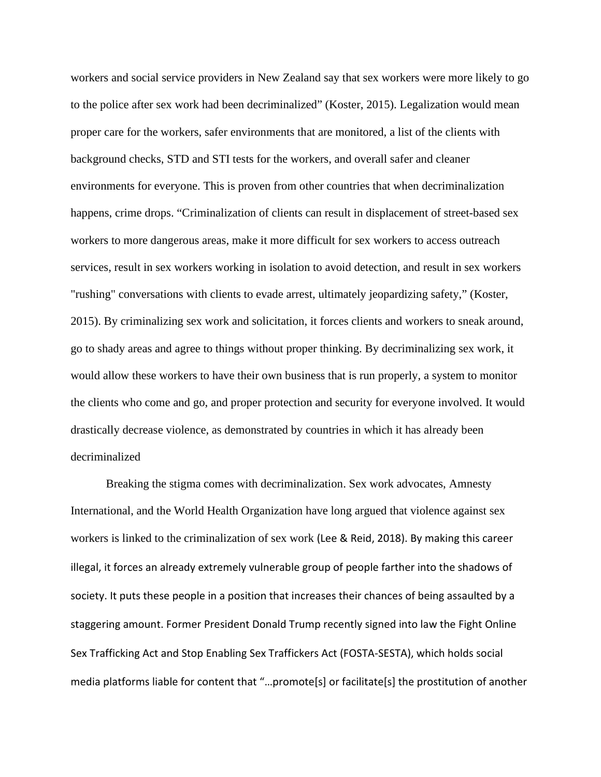workers and social service providers in New Zealand say that sex workers were more likely to go to the police after sex work had been decriminalized" (Koster, 2015). Legalization would mean proper care for the workers, safer environments that are monitored, a list of the clients with background checks, STD and STI tests for the workers, and overall safer and cleaner environments for everyone. This is proven from other countries that when decriminalization happens, crime drops. "Criminalization of clients can result in displacement of street-based sex workers to more dangerous areas, make it more difficult for sex workers to access outreach services, result in sex workers working in isolation to avoid detection, and result in sex workers "rushing" conversations with clients to evade arrest, ultimately jeopardizing safety," (Koster, 2015). By criminalizing sex work and solicitation, it forces clients and workers to sneak around, go to shady areas and agree to things without proper thinking. By decriminalizing sex work, it would allow these workers to have their own business that is run properly, a system to monitor the clients who come and go, and proper protection and security for everyone involved. It would drastically decrease violence, as demonstrated by countries in which it has already been decriminalized

Breaking the stigma comes with decriminalization. Sex work advocates, Amnesty International, and the World Health Organization have long argued that violence against sex workers is linked to the criminalization of sex work (Lee & Reid, 2018). By making this career illegal, it forces an already extremely vulnerable group of people farther into the shadows of society. It puts these people in a position that increases their chances of being assaulted by a staggering amount. Former President Donald Trump recently signed into law the Fight Online Sex Trafficking Act and Stop Enabling Sex Traffickers Act (FOSTA-SESTA), which holds social media platforms liable for content that "…promote[s] or facilitate[s] the prostitution of another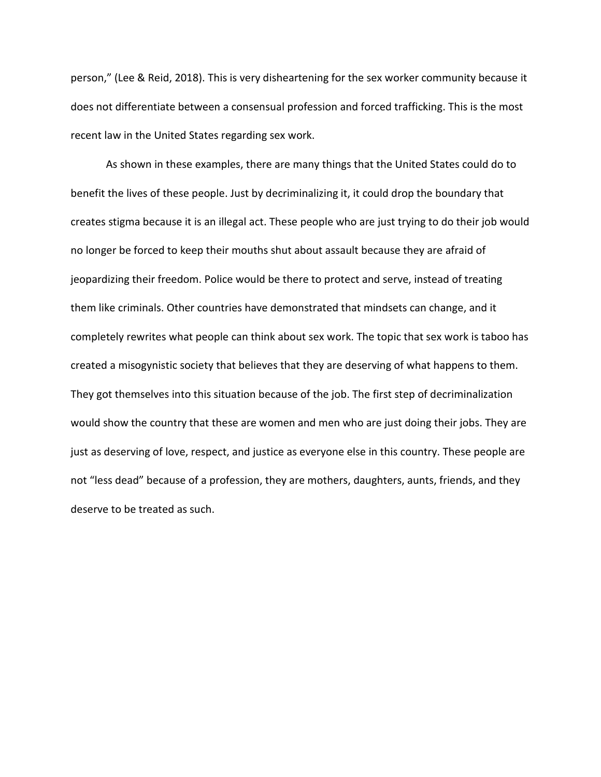person," (Lee & Reid, 2018). This is very disheartening for the sex worker community because it does not differentiate between a consensual profession and forced trafficking. This is the most recent law in the United States regarding sex work.

As shown in these examples, there are many things that the United States could do to benefit the lives of these people. Just by decriminalizing it, it could drop the boundary that creates stigma because it is an illegal act. These people who are just trying to do their job would no longer be forced to keep their mouths shut about assault because they are afraid of jeopardizing their freedom. Police would be there to protect and serve, instead of treating them like criminals. Other countries have demonstrated that mindsets can change, and it completely rewrites what people can think about sex work. The topic that sex work is taboo has created a misogynistic society that believes that they are deserving of what happens to them. They got themselves into this situation because of the job. The first step of decriminalization would show the country that these are women and men who are just doing their jobs. They are just as deserving of love, respect, and justice as everyone else in this country. These people are not "less dead" because of a profession, they are mothers, daughters, aunts, friends, and they deserve to be treated as such.